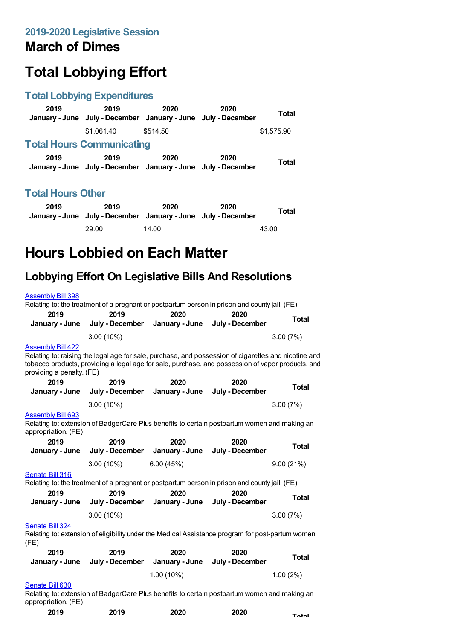## **March of Dimes**

# **Total Lobbying Effort**

### **Total Lobbying Expenditures**

| 2019                     | 2019<br>January - June July - December January - June July - December | 2020     | 2020 | Total      |
|--------------------------|-----------------------------------------------------------------------|----------|------|------------|
|                          | \$1.061.40                                                            | \$514.50 |      | \$1,575.90 |
|                          | <b>Total Hours Communicating</b>                                      |          |      |            |
| 2019                     | 2019<br>January - June July - December January - June July - December | 2020     | 2020 | Total      |
| <b>Total Hours Other</b> |                                                                       |          |      |            |

| 2019 | 2019<br>January - June July - December January - June July - December | 2020  | 2020 | Total |  |
|------|-----------------------------------------------------------------------|-------|------|-------|--|
|      | 29.00                                                                 | 14.00 |      | 43.00 |  |

# **Hours Lobbied on Each Matter**

## **Lobbying Effort On Legislative Bills And Resolutions**

#### [Assembly](https://lobbying.wi.gov/What/BillInformation/2019REG/Information/16896?tab=Efforts) Bill 398 Relating to: the treatment of a pregnant or postpartum person in prison and county jail. (FE) **2019 January - June 2019 July - December 2020 January - June 2020 July - December Total** 3.00 (10%) 3.00 (7%) [Assembly](https://lobbying.wi.gov/What/BillInformation/2019REG/Information/16930?tab=Efforts) Bill 422 Relating to: raising the legal age for sale, purchase, and possession of cigarettes and nicotine and tobacco products, providing a legal age for sale, purchase, and possession of vapor products, and providing a penalty. (FE) **2019 January - June 2019 July - December 2020 January - June 2020 July - December Total** 3.00 (10%) 3.00 (7%) [Assembly](https://lobbying.wi.gov/What/BillInformation/2019REG/Information/17504?tab=Efforts) Bill 693 Relating to: extension of BadgerCare Plus benefits to certain postpartum women and making an appropriation. (FE) **2019 January - June 2019 July - December 2020 January - June 2020 July - December Total** 3.00 (10%) 6.00 (45%) 9.00 (21%) [Senate](https://lobbying.wi.gov/What/BillInformation/2019REG/Information/16747?tab=Efforts) Bill 316 Relating to: the treatment of a pregnant or postpartum person in prison and county jail. (FE) **2019 January - June 2019 July - December 2020 January - June 2020 July - December Total** 3.00 (10%) 3.00 (7%) [Senate](https://lobbying.wi.gov/What/BillInformation/2019REG/Information/16765?tab=Efforts) Bill 324 Relating to: extension of eligibility under the Medical Assistance program for post-partum women. (FE) **2019 January - June 2019 July - December 2020 January - June 2020 July - December Total** 1.00 (10%) 1.00 (2%) [Senate](https://lobbying.wi.gov/What/BillInformation/2019REG/Information/17487?tab=Efforts) Bill 630

Relating to: extension of BadgerCare Plus benefits to certain postpartum women and making an appropriation. (FE)

| 2019 | 2019 | 2020 | 2020 | <b>Total</b> |
|------|------|------|------|--------------|
|------|------|------|------|--------------|